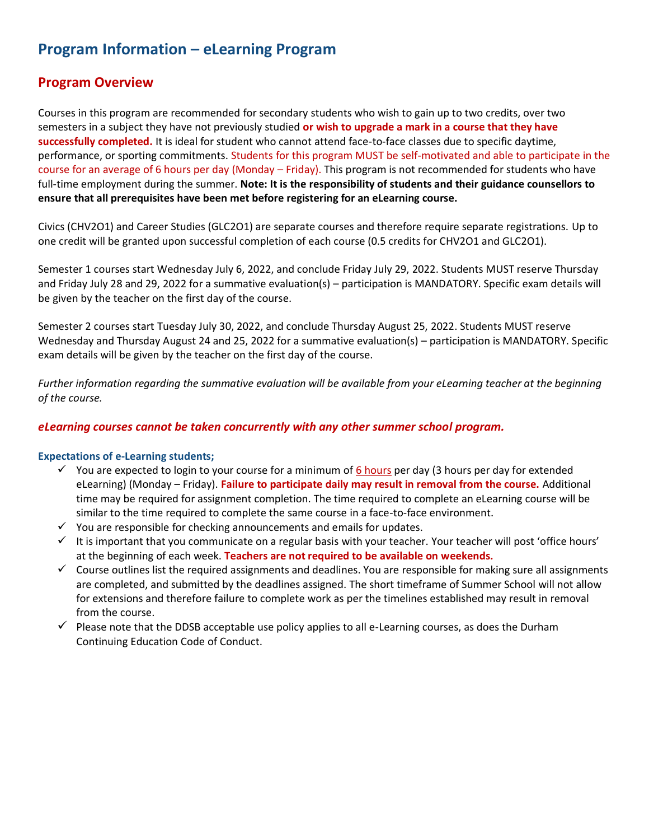# **Program Information – eLearning Program**

# **Program Overview**

Courses in this program are recommended for secondary students who wish to gain up to two credits, over two semesters in a subject they have not previously studied **or wish to upgrade a mark in a course that they have successfully completed.** It is ideal for student who cannot attend face-to-face classes due to specific daytime, performance, or sporting commitments. Students for this program MUST be self-motivated and able to participate in the course for an average of 6 hours per day (Monday – Friday). This program is not recommended for students who have full-time employment during the summer. **Note: It is the responsibility of students and their guidance counsellors to ensure that all prerequisites have been met before registering for an eLearning course.** 

Civics (CHV2O1) and Career Studies (GLC2O1) are separate courses and therefore require separate registrations. Up to one credit will be granted upon successful completion of each course (0.5 credits for CHV2O1 and GLC2O1).

Semester 1 courses start Wednesday July 6, 2022, and conclude Friday July 29, 2022. Students MUST reserve Thursday and Friday July 28 and 29, 2022 for a summative evaluation(s) – participation is MANDATORY. Specific exam details will be given by the teacher on the first day of the course.

Semester 2 courses start Tuesday July 30, 2022, and conclude Thursday August 25, 2022. Students MUST reserve Wednesday and Thursday August 24 and 25, 2022 for a summative evaluation(s) – participation is MANDATORY. Specific exam details will be given by the teacher on the first day of the course.

*Further information regarding the summative evaluation will be available from your eLearning teacher at the beginning of the course.*

# *eLearning courses cannot be taken concurrently with any other summer school program.*

## **Expectations of e-Learning students;**

- $\checkmark$  You are expected to login to your course for a minimum of  $6$  hours per day (3 hours per day for extended eLearning) (Monday – Friday). **Failure to participate daily may result in removal from the course.** Additional time may be required for assignment completion. The time required to complete an eLearning course will be similar to the time required to complete the same course in a face-to-face environment.
- $\checkmark$  You are responsible for checking announcements and emails for updates.
- ✓ It is important that you communicate on a regular basis with your teacher. Your teacher will post 'office hours' at the beginning of each week. **Teachers are not required to be available on weekends.**
- $\checkmark$  Course outlines list the required assignments and deadlines. You are responsible for making sure all assignments are completed, and submitted by the deadlines assigned. The short timeframe of Summer School will not allow for extensions and therefore failure to complete work as per the timelines established may result in removal from the course.
- $\checkmark$  Please note that the DDSB acceptable use policy applies to all e-Learning courses, as does the Durham Continuing Education Code of Conduct.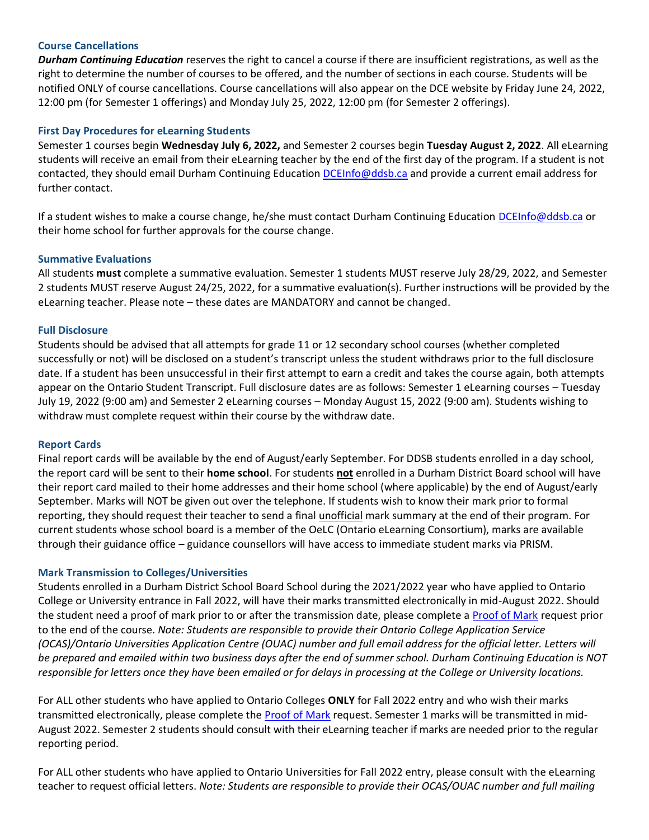### **Course Cancellations**

*Durham Continuing Education* reserves the right to cancel a course if there are insufficient registrations, as well as the right to determine the number of courses to be offered, and the number of sections in each course. Students will be notified ONLY of course cancellations. Course cancellations will also appear on the DCE website by Friday June 24, 2022, 12:00 pm (for Semester 1 offerings) and Monday July 25, 2022, 12:00 pm (for Semester 2 offerings).

#### **First Day Procedures for eLearning Students**

Semester 1 courses begin **Wednesday July 6, 2022,** and Semester 2 courses begin **Tuesday August 2, 2022**. All eLearning students will receive an email from their eLearning teacher by the end of the first day of the program. If a student is not contacted, they should email Durham Continuing Education [DCEInfo@ddsb.ca](mailto:DCEInfo@ddsb.ca) and provide a current email address for further contact.

If a student wishes to make a course change, he/she must contact Durham Continuing Education [DCEInfo@ddsb.ca](mailto:DCEInfo@ddsb.ca) or their home school for further approvals for the course change.

#### **Summative Evaluations**

All students **must** complete a summative evaluation. Semester 1 students MUST reserve July 28/29, 2022, and Semester 2 students MUST reserve August 24/25, 2022, for a summative evaluation(s). Further instructions will be provided by the eLearning teacher. Please note – these dates are MANDATORY and cannot be changed.

#### **Full Disclosure**

Students should be advised that all attempts for grade 11 or 12 secondary school courses (whether completed successfully or not) will be disclosed on a student's transcript unless the student withdraws prior to the full disclosure date. If a student has been unsuccessful in their first attempt to earn a credit and takes the course again, both attempts appear on the Ontario Student Transcript. Full disclosure dates are as follows: Semester 1 eLearning courses – Tuesday July 19, 2022 (9:00 am) and Semester 2 eLearning courses – Monday August 15, 2022 (9:00 am). Students wishing to withdraw must complete request within their course by the withdraw date.

#### **Report Cards**

Final report cards will be available by the end of August/early September. For DDSB students enrolled in a day school, the report card will be sent to their **home school**. For students **not** enrolled in a Durham District Board school will have their report card mailed to their home addresses and their home school (where applicable) by the end of August/early September. Marks will NOT be given out over the telephone. If students wish to know their mark prior to formal reporting, they should request their teacher to send a final unofficial mark summary at the end of their program. For current students whose school board is a member of the OeLC (Ontario eLearning Consortium), marks are available through their guidance office – guidance counsellors will have access to immediate student marks via PRISM.

#### **Mark Transmission to Colleges/Universities**

Students enrolled in a Durham District School Board School during the 2021/2022 year who have applied to Ontario College or University entrance in Fall 2022, will have their marks transmitted electronically in mid-August 2022. Should the student need a proof of mark prior to or after the transmission date, please complete [a Proof of Mark](https://forms.office.com/Pages/ResponsePage.aspx?id=Jrm3b-vtT02C6AwQ5Ee1cHdiV7p7eZRKt7bH7bLQca1UREI1WlpPSFBXTlNXRjY4UjRTVjJDV0lRUSQlQCN0PWcu) request prior to the end of the course. *Note: Students are responsible to provide their Ontario College Application Service (OCAS)/Ontario Universities Application Centre (OUAC) number and full email address for the official letter. Letters will be prepared and emailed within two business days after the end of summer school. Durham Continuing Education is NOT responsible for letters once they have been emailed or for delays in processing at the College or University locations.*

For ALL other students who have applied to Ontario Colleges **ONLY** for Fall 2022 entry and who wish their marks transmitted electronically, please complete the **Proof of Mark request.** Semester 1 marks will be transmitted in mid-August 2022. Semester 2 students should consult with their eLearning teacher if marks are needed prior to the regular reporting period.

For ALL other students who have applied to Ontario Universities for Fall 2022 entry, please consult with the eLearning teacher to request official letters. *Note: Students are responsible to provide their OCAS/OUAC number and full mailing*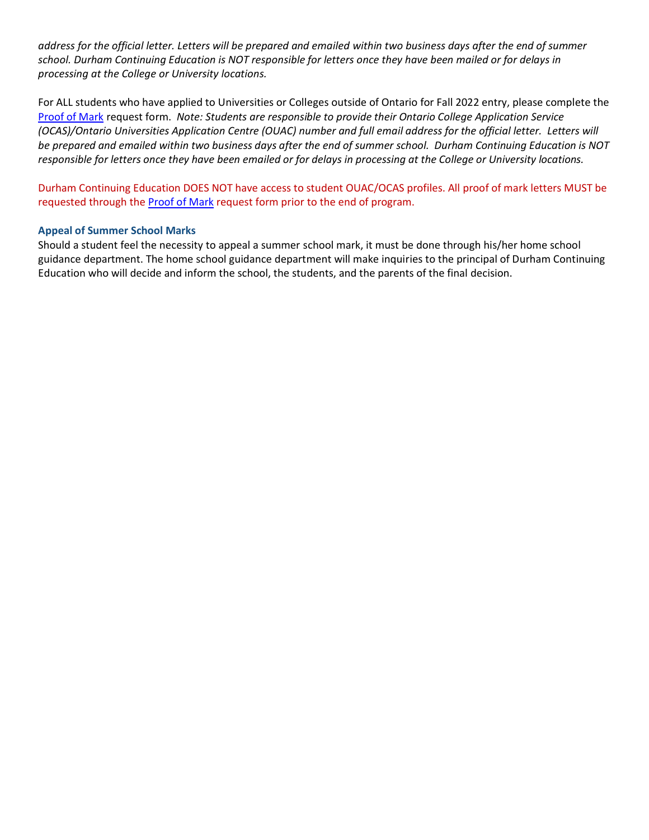*address for the official letter. Letters will be prepared and emailed within two business days after the end of summer school. Durham Continuing Education is NOT responsible for letters once they have been mailed or for delays in processing at the College or University locations.*

For ALL students who have applied to Universities or Colleges outside of Ontario for Fall 2022 entry, please complete the [Proof of Mark](https://forms.office.com/Pages/ResponsePage.aspx?id=Jrm3b-vtT02C6AwQ5Ee1cHdiV7p7eZRKt7bH7bLQca1UREI1WlpPSFBXTlNXRjY4UjRTVjJDV0lRUSQlQCN0PWcu) request form. *Note: Students are responsible to provide their Ontario College Application Service (OCAS)/Ontario Universities Application Centre (OUAC) number and full email address for the official letter. Letters will be prepared and emailed within two business days after the end of summer school. Durham Continuing Education is NOT responsible for letters once they have been emailed or for delays in processing at the College or University locations.*

Durham Continuing Education DOES NOT have access to student OUAC/OCAS profiles. All proof of mark letters MUST be requested through the [Proof of Mark](https://forms.office.com/Pages/ResponsePage.aspx?id=Jrm3b-vtT02C6AwQ5Ee1cHdiV7p7eZRKt7bH7bLQca1UREI1WlpPSFBXTlNXRjY4UjRTVjJDV0lRUSQlQCN0PWcu) request form prior to the end of program.

#### **Appeal of Summer School Marks**

Should a student feel the necessity to appeal a summer school mark, it must be done through his/her home school guidance department. The home school guidance department will make inquiries to the principal of Durham Continuing Education who will decide and inform the school, the students, and the parents of the final decision.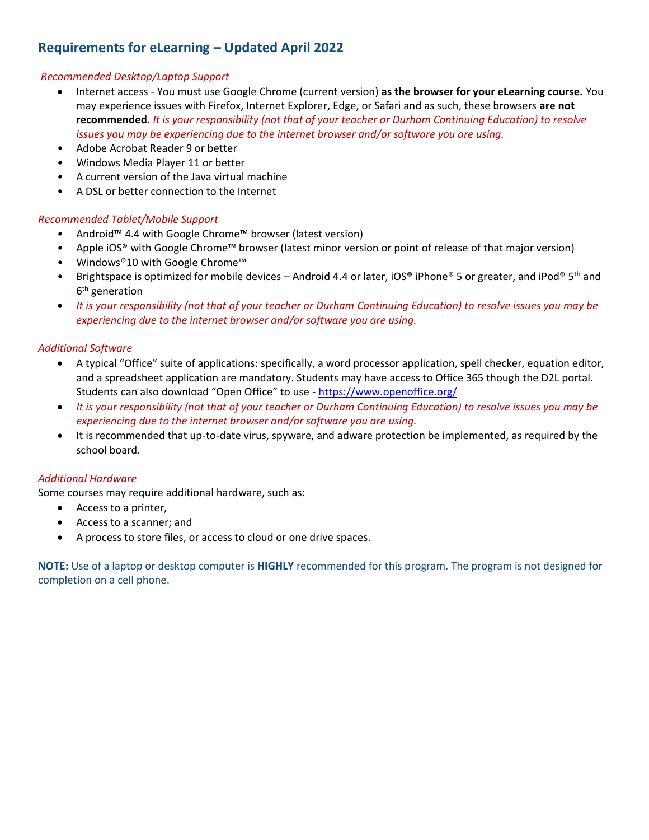# **Requirements for eLearning – Updated April 2022**

## *Recommended Desktop/Laptop Support*

- Internet access You must use Google Chrome (current version) **as the browser for your eLearning course.** You may experience issues with Firefox, Internet Explorer, Edge, or Safari and as such, these browsers **are not recommended.** *It is your responsibility (not that of your teacher or Durham Continuing Education) to resolve issues you may be experiencing due to the internet browser and/or software you are using.*
- Adobe Acrobat Reader 9 or better
- Windows Media Player 11 or better
- A current version of the Java virtual machine
- A DSL or better connection to the Internet

# *Recommended Tablet/Mobile Support*

- Android™ 4.4 with Google Chrome™ browser (latest version)
- Apple iOS® with Google Chrome™ browser (latest minor version or point of release of that major version)
- Windows®10 with Google Chrome™
- Brightspace is optimized for mobile devices Android 4.4 or later, iOS® iPhone® 5 or greater, and iPod® 5<sup>th</sup> and 6<sup>th</sup> generation
- *It is your responsibility (not that of your teacher or Durham Continuing Education) to resolve issues you may be experiencing due to the internet browser and/or software you are using.*

# *Additional Software*

- A typical "Office" suite of applications: specifically, a word processor application, spell checker, equation editor, and a spreadsheet application are mandatory. Students may have access to Office 365 though the D2L portal. Students can also download "Open Office" to use - <https://www.openoffice.org/>
- *It is your responsibility (not that of your teacher or Durham Continuing Education) to resolve issues you may be experiencing due to the internet browser and/or software you are using.*
- It is recommended that up-to-date virus, spyware, and adware protection be implemented, as required by the school board.

## *Additional Hardware*

Some courses may require additional hardware, such as:

- Access to a printer,
- Access to a scanner; and
- A process to store files, or access to cloud or one drive spaces.

**NOTE:** Use of a laptop or desktop computer is **HIGHLY** recommended for this program. The program is not designed for completion on a cell phone.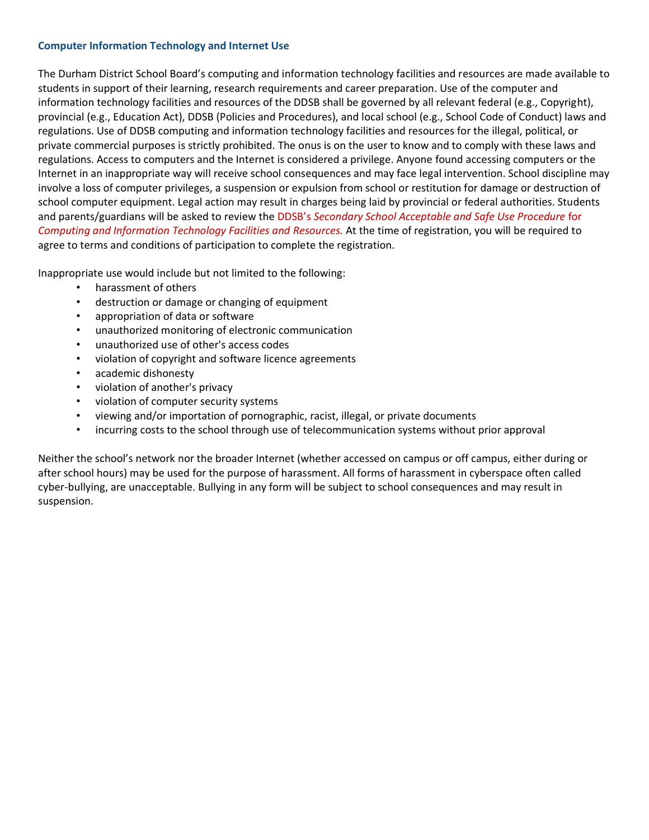## **Computer Information Technology and Internet Use**

The Durham District School Board's computing and information technology facilities and resources are made available to students in support of their learning, research requirements and career preparation. Use of the computer and information technology facilities and resources of the DDSB shall be governed by all relevant federal (e.g., Copyright), provincial (e.g., Education Act), DDSB (Policies and Procedures), and local school (e.g., School Code of Conduct) laws and regulations. Use of DDSB computing and information technology facilities and resources for the illegal, political, or private commercial purposes is strictly prohibited. The onus is on the user to know and to comply with these laws and regulations. Access to computers and the Internet is considered a privilege. Anyone found accessing computers or the Internet in an inappropriate way will receive school consequences and may face legal intervention. School discipline may involve a loss of computer privileges, a suspension or expulsion from school or restitution for damage or destruction of school computer equipment. Legal action may result in charges being laid by provincial or federal authorities. Students and parents/guardians will be asked to review the DDSB's *Secondary School Acceptable and Safe Use Procedure* for *Computing and Information Technology Facilities and Resources.* At the time of registration, you will be required to agree to terms and conditions of participation to complete the registration.

Inappropriate use would include but not limited to the following:

- harassment of others
- destruction or damage or changing of equipment
- appropriation of data or software
- unauthorized monitoring of electronic communication
- unauthorized use of other's access codes
- violation of copyright and software licence agreements
- academic dishonesty
- violation of another's privacy
- violation of computer security systems
- viewing and/or importation of pornographic, racist, illegal, or private documents
- incurring costs to the school through use of telecommunication systems without prior approval

Neither the school's network nor the broader Internet (whether accessed on campus or off campus, either during or after school hours) may be used for the purpose of harassment. All forms of harassment in cyberspace often called cyber-bullying, are unacceptable. Bullying in any form will be subject to school consequences and may result in suspension.